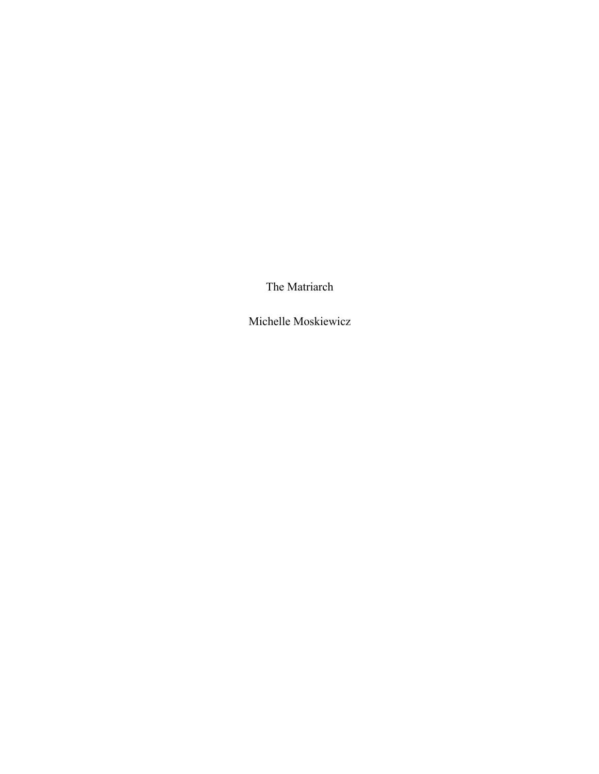The Matriarch

Michelle Moskiewicz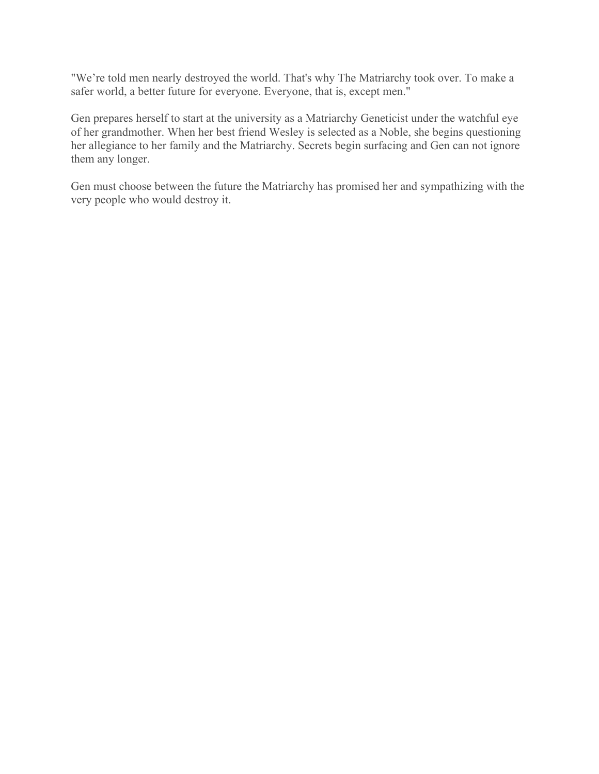"We're told men nearly destroyed the world. That's why The Matriarchy took over. To make a safer world, a better future for everyone. Everyone, that is, except men."

Gen prepares herself to start at the university as a Matriarchy Geneticist under the watchful eye of her grandmother. When her best friend Wesley is selected as a Noble, she begins questioning her allegiance to her family and the Matriarchy. Secrets begin surfacing and Gen can not ignore them any longer.

Gen must choose between the future the Matriarchy has promised her and sympathizing with the very people who would destroy it.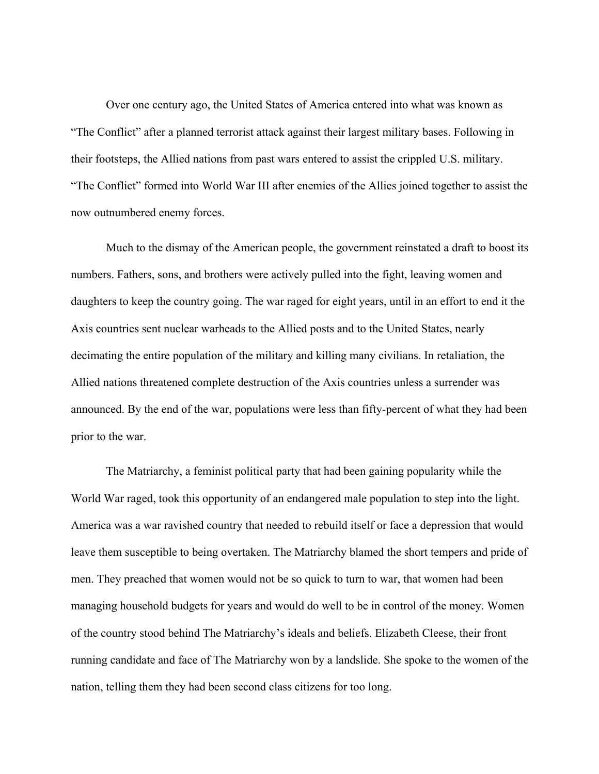Over one century ago, the United States of America entered into what was known as "The Conflict" after a planned terrorist attack against their largest military bases. Following in their footsteps, the Allied nations from past wars entered to assist the crippled U.S. military. "The Conflict" formed into World War III after enemies of the Allies joined together to assist the now outnumbered enemy forces.

Much to the dismay of the American people, the government reinstated a draft to boost its numbers. Fathers, sons, and brothers were actively pulled into the fight, leaving women and daughters to keep the country going. The war raged for eight years, until in an effort to end it the Axis countries sent nuclear warheads to the Allied posts and to the United States, nearly decimating the entire population of the military and killing many civilians. In retaliation, the Allied nations threatened complete destruction of the Axis countries unless a surrender was announced. By the end of the war, populations were less than fifty-percent of what they had been prior to the war.

The Matriarchy, a feminist political party that had been gaining popularity while the World War raged, took this opportunity of an endangered male population to step into the light. America was a war ravished country that needed to rebuild itself or face a depression that would leave them susceptible to being overtaken. The Matriarchy blamed the short tempers and pride of men. They preached that women would not be so quick to turn to war, that women had been managing household budgets for years and would do well to be in control of the money. Women of the country stood behind The Matriarchy's ideals and beliefs. Elizabeth Cleese, their front running candidate and face of The Matriarchy won by a landslide. She spoke to the women of the nation, telling them they had been second class citizens for too long.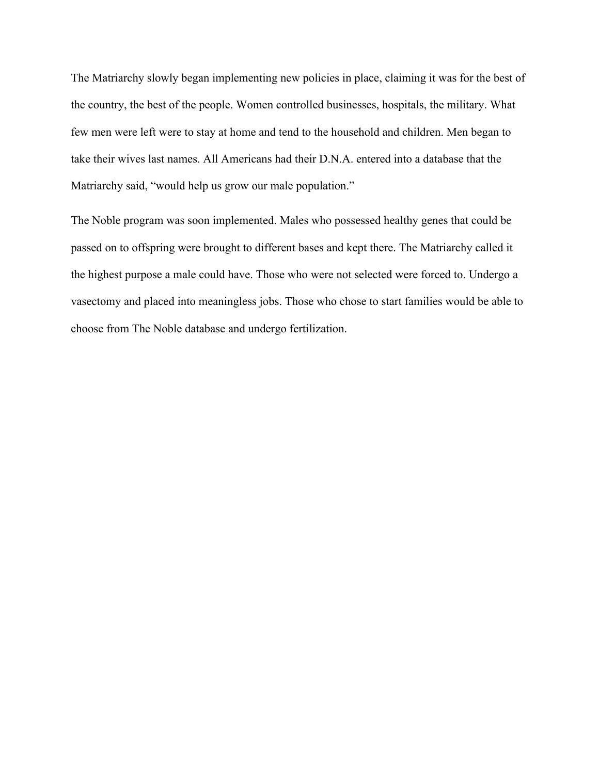The Matriarchy slowly began implementing new policies in place, claiming it was for the best of the country, the best of the people. Women controlled businesses, hospitals, the military. What few men were left were to stay at home and tend to the household and children. Men began to take their wives last names. All Americans had their D.N.A. entered into a database that the Matriarchy said, "would help us grow our male population."

The Noble program was soon implemented. Males who possessed healthy genes that could be passed on to offspring were brought to different bases and kept there. The Matriarchy called it the highest purpose a male could have. Those who were not selected were forced to. Undergo a vasectomy and placed into meaningless jobs. Those who chose to start families would be able to choose from The Noble database and undergo fertilization.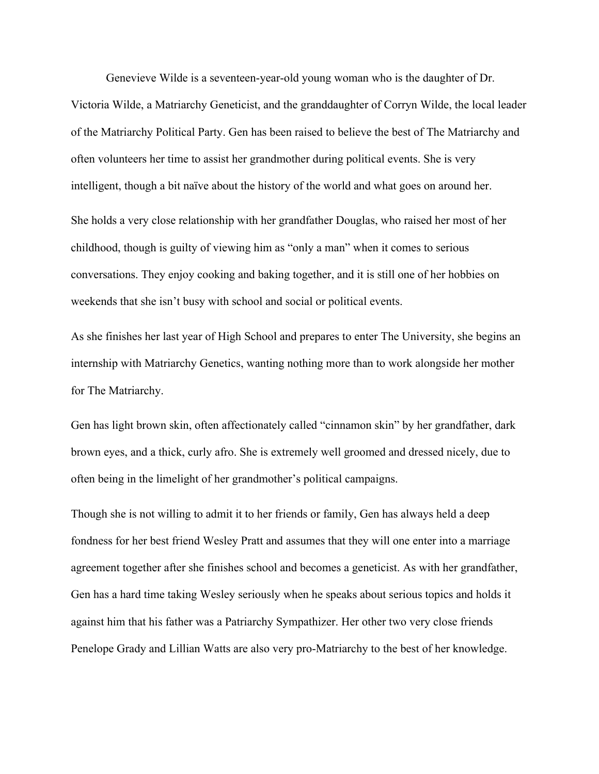Genevieve Wilde is a seventeen-year-old young woman who is the daughter of Dr.

Victoria Wilde, a Matriarchy Geneticist, and the granddaughter of Corryn Wilde, the local leader of the Matriarchy Political Party. Gen has been raised to believe the best of The Matriarchy and often volunteers her time to assist her grandmother during political events. She is very intelligent, though a bit naïve about the history of the world and what goes on around her. She holds a very close relationship with her grandfather Douglas, who raised her most of her childhood, though is guilty of viewing him as "only a man" when it comes to serious conversations. They enjoy cooking and baking together, and it is still one of her hobbies on weekends that she isn't busy with school and social or political events.

As she finishes her last year of High School and prepares to enter The University, she begins an internship with Matriarchy Genetics, wanting nothing more than to work alongside her mother for The Matriarchy.

Gen has light brown skin, often affectionately called "cinnamon skin" by her grandfather, dark brown eyes, and a thick, curly afro. She is extremely well groomed and dressed nicely, due to often being in the limelight of her grandmother's political campaigns.

Though she is not willing to admit it to her friends or family, Gen has always held a deep fondness for her best friend Wesley Pratt and assumes that they will one enter into a marriage agreement together after she finishes school and becomes a geneticist. As with her grandfather, Gen has a hard time taking Wesley seriously when he speaks about serious topics and holds it against him that his father was a Patriarchy Sympathizer. Her other two very close friends Penelope Grady and Lillian Watts are also very pro-Matriarchy to the best of her knowledge.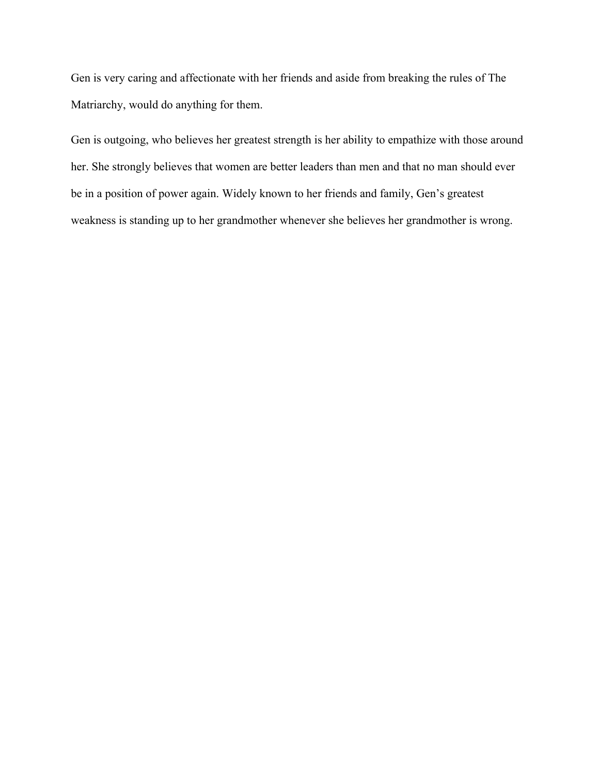Gen is very caring and affectionate with her friends and aside from breaking the rules of The Matriarchy, would do anything for them.

Gen is outgoing, who believes her greatest strength is her ability to empathize with those around her. She strongly believes that women are better leaders than men and that no man should ever be in a position of power again. Widely known to her friends and family, Gen's greatest weakness is standing up to her grandmother whenever she believes her grandmother is wrong.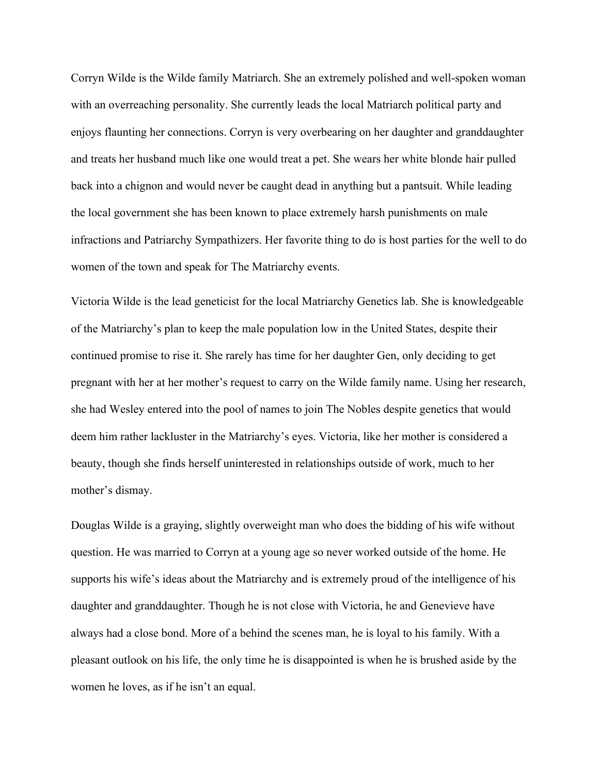Corryn Wilde is the Wilde family Matriarch. She an extremely polished and well-spoken woman with an overreaching personality. She currently leads the local Matriarch political party and enjoys flaunting her connections. Corryn is very overbearing on her daughter and granddaughter and treats her husband much like one would treat a pet. She wears her white blonde hair pulled back into a chignon and would never be caught dead in anything but a pantsuit. While leading the local government she has been known to place extremely harsh punishments on male infractions and Patriarchy Sympathizers. Her favorite thing to do is host parties for the well to do women of the town and speak for The Matriarchy events.

Victoria Wilde is the lead geneticist for the local Matriarchy Genetics lab. She is knowledgeable of the Matriarchy's plan to keep the male population low in the United States, despite their continued promise to rise it. She rarely has time for her daughter Gen, only deciding to get pregnant with her at her mother's request to carry on the Wilde family name. Using her research, she had Wesley entered into the pool of names to join The Nobles despite genetics that would deem him rather lackluster in the Matriarchy's eyes. Victoria, like her mother is considered a beauty, though she finds herself uninterested in relationships outside of work, much to her mother's dismay.

Douglas Wilde is a graying, slightly overweight man who does the bidding of his wife without question. He was married to Corryn at a young age so never worked outside of the home. He supports his wife's ideas about the Matriarchy and is extremely proud of the intelligence of his daughter and granddaughter. Though he is not close with Victoria, he and Genevieve have always had a close bond. More of a behind the scenes man, he is loyal to his family. With a pleasant outlook on his life, the only time he is disappointed is when he is brushed aside by the women he loves, as if he isn't an equal.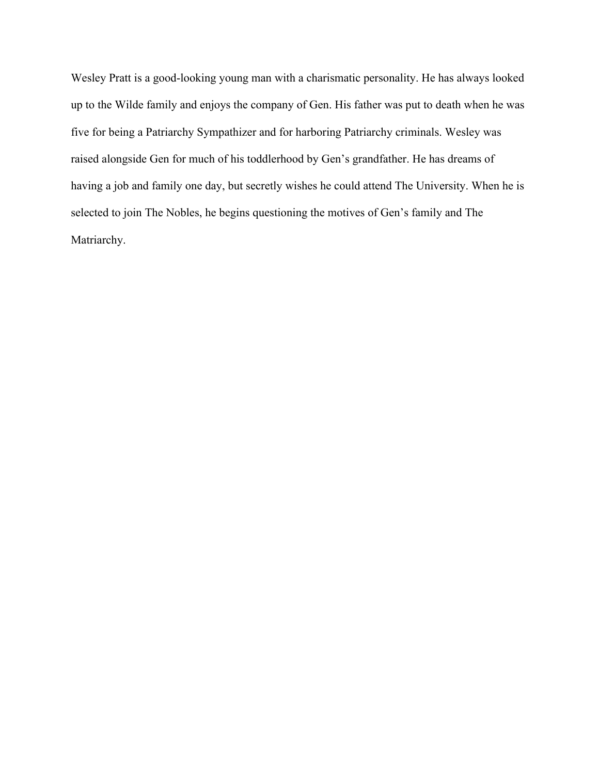Wesley Pratt is a good-looking young man with a charismatic personality. He has always looked up to the Wilde family and enjoys the company of Gen. His father was put to death when he was five for being a Patriarchy Sympathizer and for harboring Patriarchy criminals. Wesley was raised alongside Gen for much of his toddlerhood by Gen's grandfather. He has dreams of having a job and family one day, but secretly wishes he could attend The University. When he is selected to join The Nobles, he begins questioning the motives of Gen's family and The Matriarchy.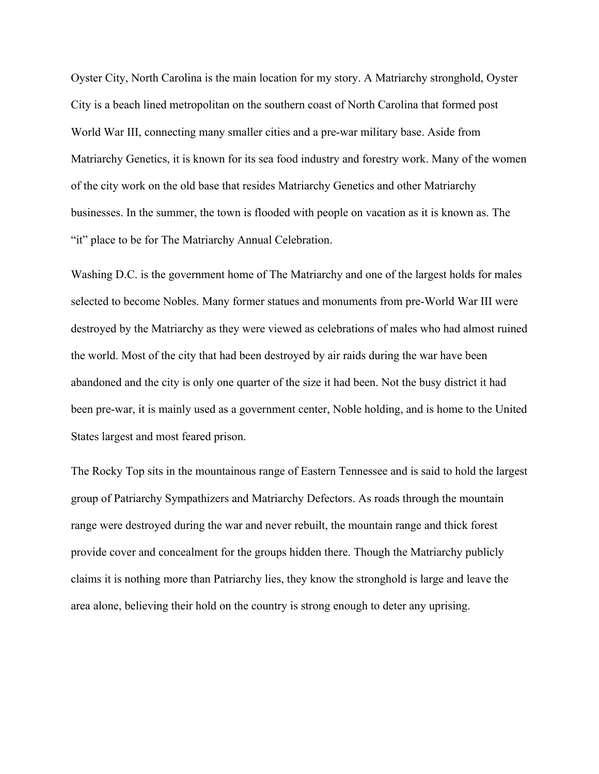Oyster City, North Carolina is the main location for my story. A Matriarchy stronghold, Oyster City is a beach lined metropolitan on the southern coast of North Carolina that formed post World War III, connecting many smaller cities and a pre-war military base. Aside from Matriarchy Genetics, it is known for its sea food industry and forestry work. Many of the women of the city work on the old base that resides Matriarchy Genetics and other Matriarchy businesses. In the summer, the town is flooded with people on vacation as it is known as. The "it" place to be for The Matriarchy Annual Celebration.

Washing D.C. is the government home of The Matriarchy and one of the largest holds for males selected to become Nobles. Many former statues and monuments from pre-World War III were destroyed by the Matriarchy as they were viewed as celebrations of males who had almost ruined the world. Most of the city that had been destroyed by air raids during the war have been abandoned and the city is only one quarter of the size it had been. Not the busy district it had been pre-war, it is mainly used as a government center, Noble holding, and is home to the United States largest and most feared prison.

The Rocky Top sits in the mountainous range of Eastern Tennessee and is said to hold the largest group of Patriarchy Sympathizers and Matriarchy Defectors. As roads through the mountain range were destroyed during the war and never rebuilt, the mountain range and thick forest provide cover and concealment for the groups hidden there. Though the Matriarchy publicly claims it is nothing more than Patriarchy lies, they know the stronghold is large and leave the area alone, believing their hold on the country is strong enough to deter any uprising.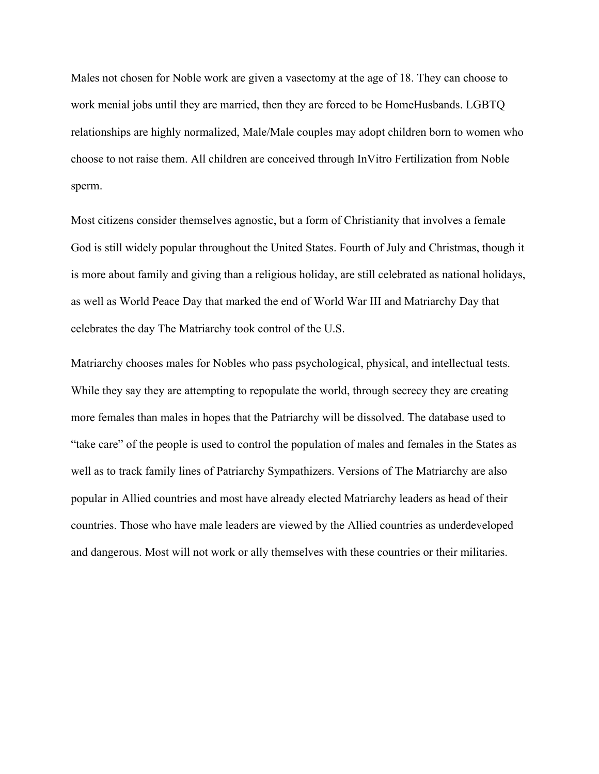Males not chosen for Noble work are given a vasectomy at the age of 18. They can choose to work menial jobs until they are married, then they are forced to be HomeHusbands. LGBTQ relationships are highly normalized, Male/Male couples may adopt children born to women who choose to not raise them. All children are conceived through InVitro Fertilization from Noble sperm.

Most citizens consider themselves agnostic, but a form of Christianity that involves a female God is still widely popular throughout the United States. Fourth of July and Christmas, though it is more about family and giving than a religious holiday, are still celebrated as national holidays, as well as World Peace Day that marked the end of World War III and Matriarchy Day that celebrates the day The Matriarchy took control of the U.S.

Matriarchy chooses males for Nobles who pass psychological, physical, and intellectual tests. While they say they are attempting to repopulate the world, through secrecy they are creating more females than males in hopes that the Patriarchy will be dissolved. The database used to "take care" of the people is used to control the population of males and females in the States as well as to track family lines of Patriarchy Sympathizers. Versions of The Matriarchy are also popular in Allied countries and most have already elected Matriarchy leaders as head of their countries. Those who have male leaders are viewed by the Allied countries as underdeveloped and dangerous. Most will not work or ally themselves with these countries or their militaries.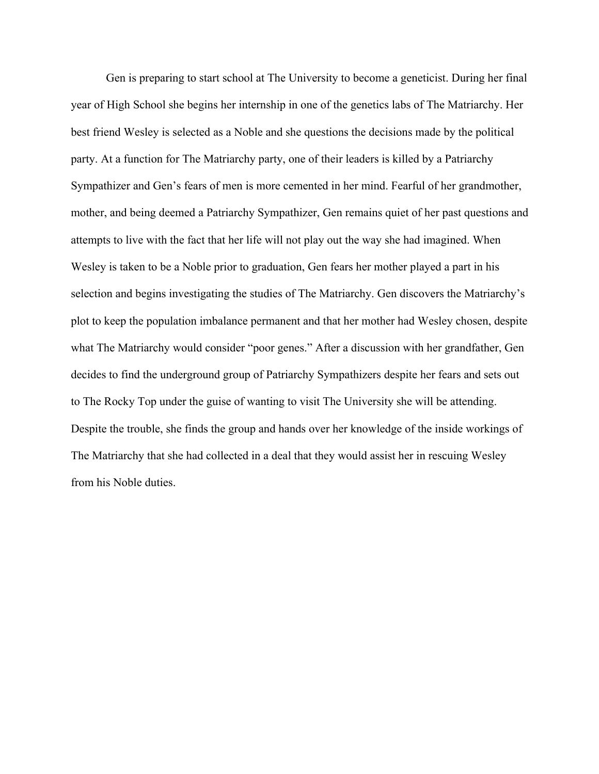Gen is preparing to start school at The University to become a geneticist. During her final year of High School she begins her internship in one of the genetics labs of The Matriarchy. Her best friend Wesley is selected as a Noble and she questions the decisions made by the political party. At a function for The Matriarchy party, one of their leaders is killed by a Patriarchy Sympathizer and Gen's fears of men is more cemented in her mind. Fearful of her grandmother, mother, and being deemed a Patriarchy Sympathizer, Gen remains quiet of her past questions and attempts to live with the fact that her life will not play out the way she had imagined. When Wesley is taken to be a Noble prior to graduation, Gen fears her mother played a part in his selection and begins investigating the studies of The Matriarchy. Gen discovers the Matriarchy's plot to keep the population imbalance permanent and that her mother had Wesley chosen, despite what The Matriarchy would consider "poor genes." After a discussion with her grandfather, Gen decides to find the underground group of Patriarchy Sympathizers despite her fears and sets out to The Rocky Top under the guise of wanting to visit The University she will be attending. Despite the trouble, she finds the group and hands over her knowledge of the inside workings of The Matriarchy that she had collected in a deal that they would assist her in rescuing Wesley from his Noble duties.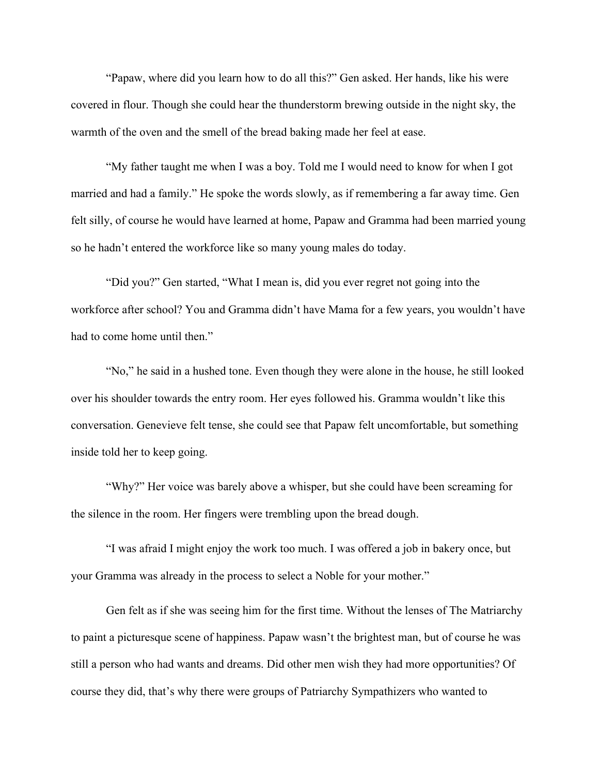"Papaw, where did you learn how to do all this?" Gen asked. Her hands, like his were covered in flour. Though she could hear the thunderstorm brewing outside in the night sky, the warmth of the oven and the smell of the bread baking made her feel at ease.

"My father taught me when I was a boy. Told me I would need to know for when I got married and had a family." He spoke the words slowly, as if remembering a far away time. Gen felt silly, of course he would have learned at home, Papaw and Gramma had been married young so he hadn't entered the workforce like so many young males do today.

"Did you?" Gen started, "What I mean is, did you ever regret not going into the workforce after school? You and Gramma didn't have Mama for a few years, you wouldn't have had to come home until then."

"No," he said in a hushed tone. Even though they were alone in the house, he still looked over his shoulder towards the entry room. Her eyes followed his. Gramma wouldn't like this conversation. Genevieve felt tense, she could see that Papaw felt uncomfortable, but something inside told her to keep going.

"Why?" Her voice was barely above a whisper, but she could have been screaming for the silence in the room. Her fingers were trembling upon the bread dough.

"I was afraid I might enjoy the work too much. I was offered a job in bakery once, but your Gramma was already in the process to select a Noble for your mother."

Gen felt as if she was seeing him for the first time. Without the lenses of The Matriarchy to paint a picturesque scene of happiness. Papaw wasn't the brightest man, but of course he was still a person who had wants and dreams. Did other men wish they had more opportunities? Of course they did, that's why there were groups of Patriarchy Sympathizers who wanted to